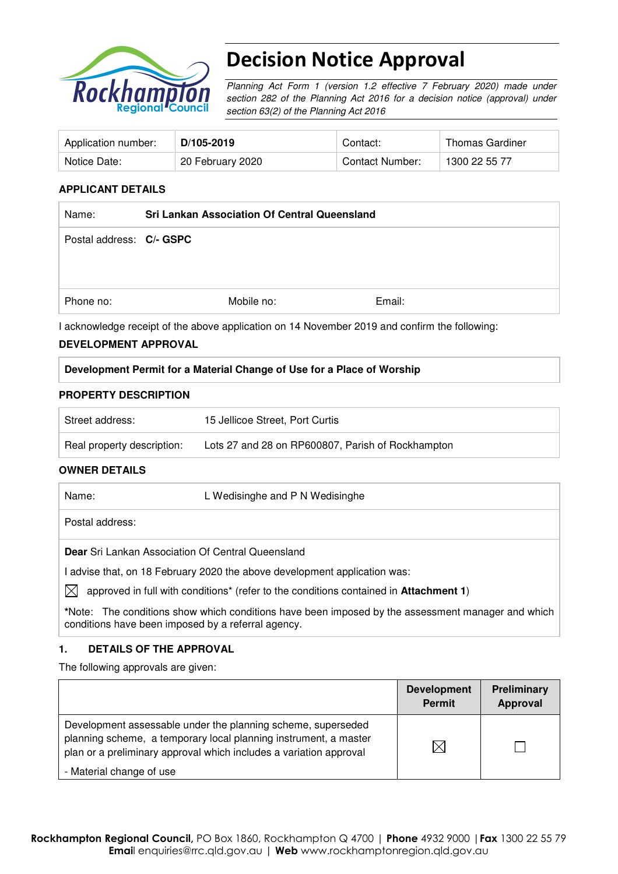

# Decision Notice Approval

Planning Act Form 1 (version 1.2 effective 7 February 2020) made under section 282 of the Planning Act 2016 for a decision notice (approval) under section 63(2) of the Planning Act 2016

| Application number: | D/105-2019       | Contact:        | Thomas Gardiner |
|---------------------|------------------|-----------------|-----------------|
| Notice Date:        | 20 February 2020 | Contact Number: | 1300 22 55 77   |

#### **APPLICANT DETAILS**

| Name:                    | <b>Sri Lankan Association Of Central Queensland</b> |            |        |
|--------------------------|-----------------------------------------------------|------------|--------|
| Postal address: C/- GSPC |                                                     |            |        |
|                          |                                                     |            |        |
|                          |                                                     |            |        |
| Phone no:                |                                                     | Mobile no: | Email: |

I acknowledge receipt of the above application on 14 November 2019 and confirm the following:

#### **DEVELOPMENT APPROVAL**

## **Development Permit for a Material Change of Use for a Place of Worship**

#### **PROPERTY DESCRIPTION**

| Street address:            | 15 Jellicoe Street, Port Curtis                   |
|----------------------------|---------------------------------------------------|
| Real property description: | Lots 27 and 28 on RP600807, Parish of Rockhampton |

#### **OWNER DETAILS**

| Name:                                                                         | L Wedisinghe and P N Wedisinghe |
|-------------------------------------------------------------------------------|---------------------------------|
| Postal address:                                                               |                                 |
| <b>Dear</b> Sri Lankan Association Of Central Queensland                      |                                 |
| advise that, on 18 February 2020 the above development application was:<br>↖↗ |                                 |

 $\boxtimes$  approved in full with conditions<sup>\*</sup> (refer to the conditions contained in Attachment 1)

**\***Note:The conditions show which conditions have been imposed by the assessment manager and which conditions have been imposed by a referral agency.

## **1. DETAILS OF THE APPROVAL**

The following approvals are given:

|                                                                                                                                                                                                        | <b>Development</b><br><b>Permit</b> | Preliminary<br>Approval |
|--------------------------------------------------------------------------------------------------------------------------------------------------------------------------------------------------------|-------------------------------------|-------------------------|
| Development assessable under the planning scheme, superseded<br>planning scheme, a temporary local planning instrument, a master<br>plan or a preliminary approval which includes a variation approval | $\times$                            |                         |
| - Material change of use                                                                                                                                                                               |                                     |                         |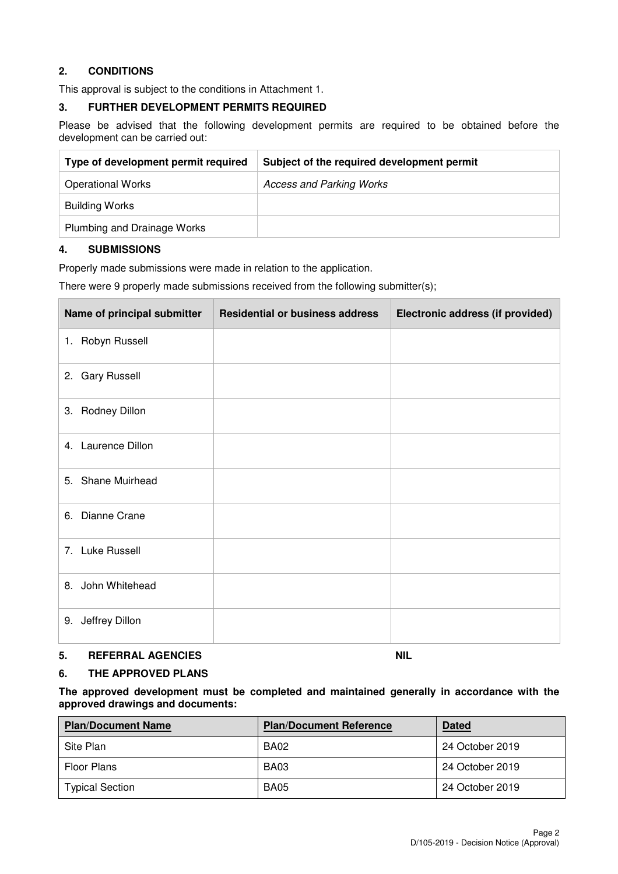## **2. CONDITIONS**

This approval is subject to the conditions in Attachment 1.

#### **3. FURTHER DEVELOPMENT PERMITS REQUIRED**

Please be advised that the following development permits are required to be obtained before the development can be carried out:

| Type of development permit required | Subject of the required development permit |
|-------------------------------------|--------------------------------------------|
| <b>Operational Works</b>            | <b>Access and Parking Works</b>            |
| <b>Building Works</b>               |                                            |
| Plumbing and Drainage Works         |                                            |

#### **4. SUBMISSIONS**

Properly made submissions were made in relation to the application.

There were 9 properly made submissions received from the following submitter(s);

| Name of principal submitter | <b>Residential or business address</b> | Electronic address (if provided) |
|-----------------------------|----------------------------------------|----------------------------------|
| 1. Robyn Russell            |                                        |                                  |
| 2. Gary Russell             |                                        |                                  |
| 3. Rodney Dillon            |                                        |                                  |
| 4. Laurence Dillon          |                                        |                                  |
| 5. Shane Muirhead           |                                        |                                  |
| Dianne Crane<br>6.          |                                        |                                  |
| 7. Luke Russell             |                                        |                                  |
| 8. John Whitehead           |                                        |                                  |
| 9. Jeffrey Dillon           |                                        |                                  |

#### **5. REFERRAL AGENCIES** NIL

#### **6. THE APPROVED PLANS**

**The approved development must be completed and maintained generally in accordance with the approved drawings and documents:** 

| <b>Plan/Document Name</b> | <b>Plan/Document Reference</b> | <b>Dated</b>    |
|---------------------------|--------------------------------|-----------------|
| Site Plan                 | <b>BA02</b>                    | 24 October 2019 |
| Floor Plans               | <b>BA03</b>                    | 24 October 2019 |
| <b>Typical Section</b>    | <b>BA05</b>                    | 24 October 2019 |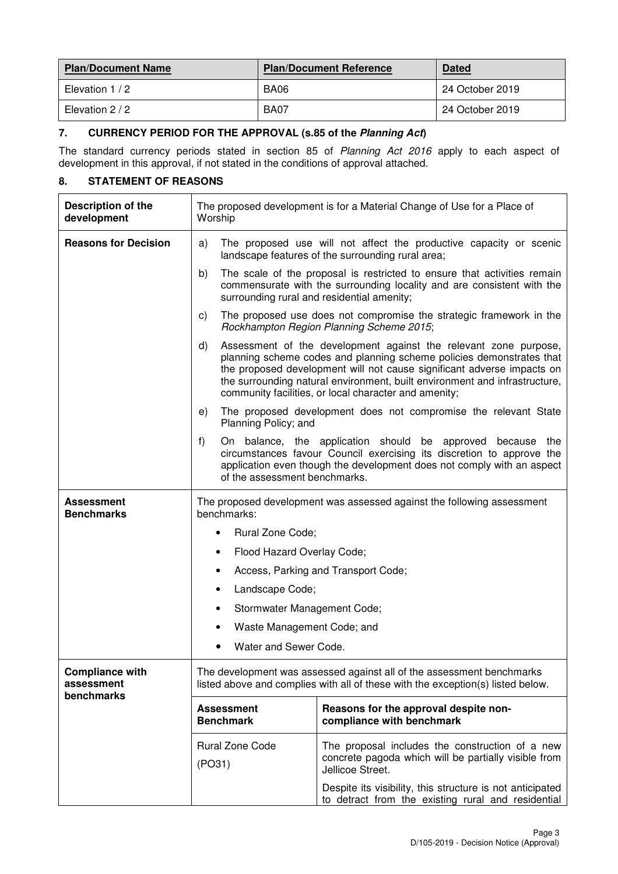| <b>Plan/Document Name</b> | <b>Plan/Document Reference</b> | <b>Dated</b>    |
|---------------------------|--------------------------------|-----------------|
| Elevation 1 / 2           | <b>BA06</b>                    | 24 October 2019 |
| Elevation 2 / 2           | BA07                           | 24 October 2019 |

## **7. CURRENCY PERIOD FOR THE APPROVAL (s.85 of the Planning Act)**

The standard currency periods stated in section 85 of Planning Act 2016 apply to each aspect of development in this approval, if not stated in the conditions of approval attached.

## **8. STATEMENT OF REASONS**

| <b>Description of the</b><br>development           | The proposed development is for a Material Change of Use for a Place of<br>Worship                                                                       |                                                                                                                                                                                                                                                                                                                                                           |
|----------------------------------------------------|----------------------------------------------------------------------------------------------------------------------------------------------------------|-----------------------------------------------------------------------------------------------------------------------------------------------------------------------------------------------------------------------------------------------------------------------------------------------------------------------------------------------------------|
| <b>Reasons for Decision</b>                        | a)                                                                                                                                                       | The proposed use will not affect the productive capacity or scenic<br>landscape features of the surrounding rural area;                                                                                                                                                                                                                                   |
|                                                    | b)                                                                                                                                                       | The scale of the proposal is restricted to ensure that activities remain<br>commensurate with the surrounding locality and are consistent with the<br>surrounding rural and residential amenity;                                                                                                                                                          |
|                                                    | C)                                                                                                                                                       | The proposed use does not compromise the strategic framework in the<br>Rockhampton Region Planning Scheme 2015;                                                                                                                                                                                                                                           |
|                                                    | d)                                                                                                                                                       | Assessment of the development against the relevant zone purpose,<br>planning scheme codes and planning scheme policies demonstrates that<br>the proposed development will not cause significant adverse impacts on<br>the surrounding natural environment, built environment and infrastructure,<br>community facilities, or local character and amenity; |
|                                                    | e)<br>Planning Policy; and                                                                                                                               | The proposed development does not compromise the relevant State                                                                                                                                                                                                                                                                                           |
|                                                    | f)<br>of the assessment benchmarks.                                                                                                                      | On balance, the application should be approved because the<br>circumstances favour Council exercising its discretion to approve the<br>application even though the development does not comply with an aspect                                                                                                                                             |
| Assessment<br><b>Benchmarks</b>                    | The proposed development was assessed against the following assessment<br>benchmarks:                                                                    |                                                                                                                                                                                                                                                                                                                                                           |
|                                                    | Rural Zone Code;<br>$\bullet$                                                                                                                            |                                                                                                                                                                                                                                                                                                                                                           |
|                                                    | Flood Hazard Overlay Code;<br>٠                                                                                                                          |                                                                                                                                                                                                                                                                                                                                                           |
|                                                    | Access, Parking and Transport Code;<br>٠                                                                                                                 |                                                                                                                                                                                                                                                                                                                                                           |
|                                                    | Landscape Code;<br>٠                                                                                                                                     |                                                                                                                                                                                                                                                                                                                                                           |
|                                                    | Stormwater Management Code;<br>٠                                                                                                                         |                                                                                                                                                                                                                                                                                                                                                           |
|                                                    | Waste Management Code; and                                                                                                                               |                                                                                                                                                                                                                                                                                                                                                           |
|                                                    | Water and Sewer Code.                                                                                                                                    |                                                                                                                                                                                                                                                                                                                                                           |
| <b>Compliance with</b><br>assessment<br>benchmarks | The development was assessed against all of the assessment benchmarks<br>listed above and complies with all of these with the exception(s) listed below. |                                                                                                                                                                                                                                                                                                                                                           |
|                                                    | <b>Assessment</b><br><b>Benchmark</b>                                                                                                                    | Reasons for the approval despite non-<br>compliance with benchmark                                                                                                                                                                                                                                                                                        |
|                                                    | <b>Rural Zone Code</b><br>(PO31)                                                                                                                         | The proposal includes the construction of a new<br>concrete pagoda which will be partially visible from<br>Jellicoe Street.                                                                                                                                                                                                                               |
|                                                    |                                                                                                                                                          | Despite its visibility, this structure is not anticipated<br>to detract from the existing rural and residential                                                                                                                                                                                                                                           |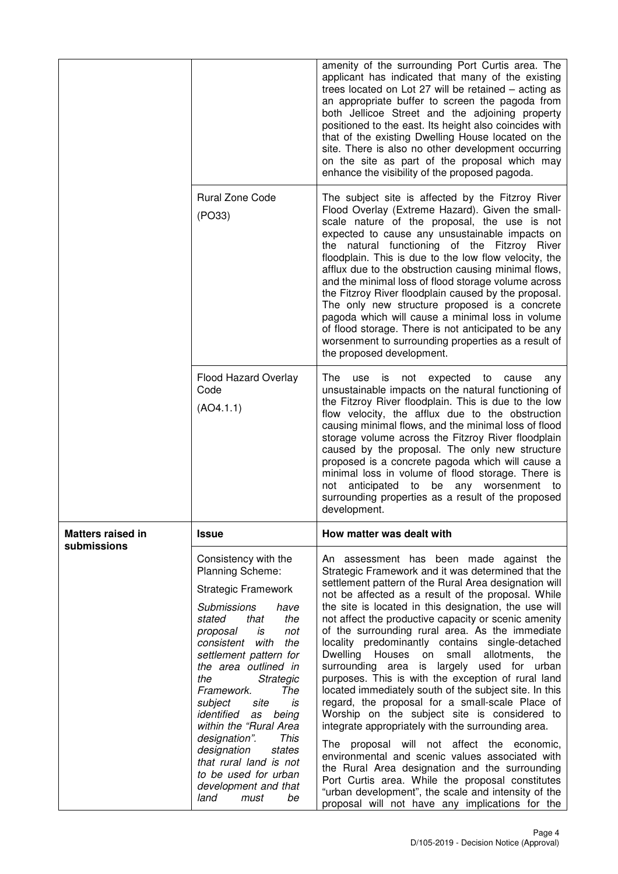|                          |                                                                                                                                                                                                                                                                                                                                                                                                                                                                                                        | amenity of the surrounding Port Curtis area. The<br>applicant has indicated that many of the existing<br>trees located on Lot 27 will be retained - acting as<br>an appropriate buffer to screen the pagoda from<br>both Jellicoe Street and the adjoining property<br>positioned to the east. Its height also coincides with<br>that of the existing Dwelling House located on the<br>site. There is also no other development occurring<br>on the site as part of the proposal which may<br>enhance the visibility of the proposed pagoda.                                                                                                                                                                                                                                                                                                                                                                                                                                                                                                                                                                                        |
|--------------------------|--------------------------------------------------------------------------------------------------------------------------------------------------------------------------------------------------------------------------------------------------------------------------------------------------------------------------------------------------------------------------------------------------------------------------------------------------------------------------------------------------------|-------------------------------------------------------------------------------------------------------------------------------------------------------------------------------------------------------------------------------------------------------------------------------------------------------------------------------------------------------------------------------------------------------------------------------------------------------------------------------------------------------------------------------------------------------------------------------------------------------------------------------------------------------------------------------------------------------------------------------------------------------------------------------------------------------------------------------------------------------------------------------------------------------------------------------------------------------------------------------------------------------------------------------------------------------------------------------------------------------------------------------------|
|                          | <b>Rural Zone Code</b><br>(PO33)                                                                                                                                                                                                                                                                                                                                                                                                                                                                       | The subject site is affected by the Fitzroy River<br>Flood Overlay (Extreme Hazard). Given the small-<br>scale nature of the proposal, the use is not<br>expected to cause any unsustainable impacts on<br>the natural functioning of the Fitzroy River<br>floodplain. This is due to the low flow velocity, the<br>afflux due to the obstruction causing minimal flows,<br>and the minimal loss of flood storage volume across<br>the Fitzroy River floodplain caused by the proposal.<br>The only new structure proposed is a concrete<br>pagoda which will cause a minimal loss in volume<br>of flood storage. There is not anticipated to be any<br>worsenment to surrounding properties as a result of<br>the proposed development.                                                                                                                                                                                                                                                                                                                                                                                            |
|                          | <b>Flood Hazard Overlay</b><br>Code<br>(AO4.1.1)                                                                                                                                                                                                                                                                                                                                                                                                                                                       | The<br>is<br>not<br>expected to<br>use<br>cause<br>any<br>unsustainable impacts on the natural functioning of<br>the Fitzroy River floodplain. This is due to the low<br>flow velocity, the afflux due to the obstruction<br>causing minimal flows, and the minimal loss of flood<br>storage volume across the Fitzroy River floodplain<br>caused by the proposal. The only new structure<br>proposed is a concrete pagoda which will cause a<br>minimal loss in volume of flood storage. There is<br>anticipated to be any worsenment to<br>not<br>surrounding properties as a result of the proposed<br>development.                                                                                                                                                                                                                                                                                                                                                                                                                                                                                                              |
| <b>Matters raised in</b> | <b>Issue</b>                                                                                                                                                                                                                                                                                                                                                                                                                                                                                           | How matter was dealt with                                                                                                                                                                                                                                                                                                                                                                                                                                                                                                                                                                                                                                                                                                                                                                                                                                                                                                                                                                                                                                                                                                           |
| submissions              | Consistency with the<br>Planning Scheme:<br><b>Strategic Framework</b><br>Submissions<br>have<br>the<br>that<br>stated<br>is<br>not<br>proposal<br>consistent with<br>the<br>settlement pattern for<br>the area outlined in<br>Strategic<br>the<br>The<br>Framework.<br>subject<br>site<br>is<br>identified<br>being<br>as<br>within the "Rural Area<br>This<br>designation".<br>designation<br>states<br>that rural land is not<br>to be used for urban<br>development and that<br>land<br>must<br>be | An assessment has been made against the<br>Strategic Framework and it was determined that the<br>settlement pattern of the Rural Area designation will<br>not be affected as a result of the proposal. While<br>the site is located in this designation, the use will<br>not affect the productive capacity or scenic amenity<br>of the surrounding rural area. As the immediate<br>locality predominantly contains single-detached<br>small<br>allotments,<br>Dwelling Houses<br>on<br>the<br>surrounding area is largely used for urban<br>purposes. This is with the exception of rural land<br>located immediately south of the subject site. In this<br>regard, the proposal for a small-scale Place of<br>Worship on the subject site is considered to<br>integrate appropriately with the surrounding area.<br>The proposal will not affect the economic,<br>environmental and scenic values associated with<br>the Rural Area designation and the surrounding<br>Port Curtis area. While the proposal constitutes<br>"urban development", the scale and intensity of the<br>proposal will not have any implications for the |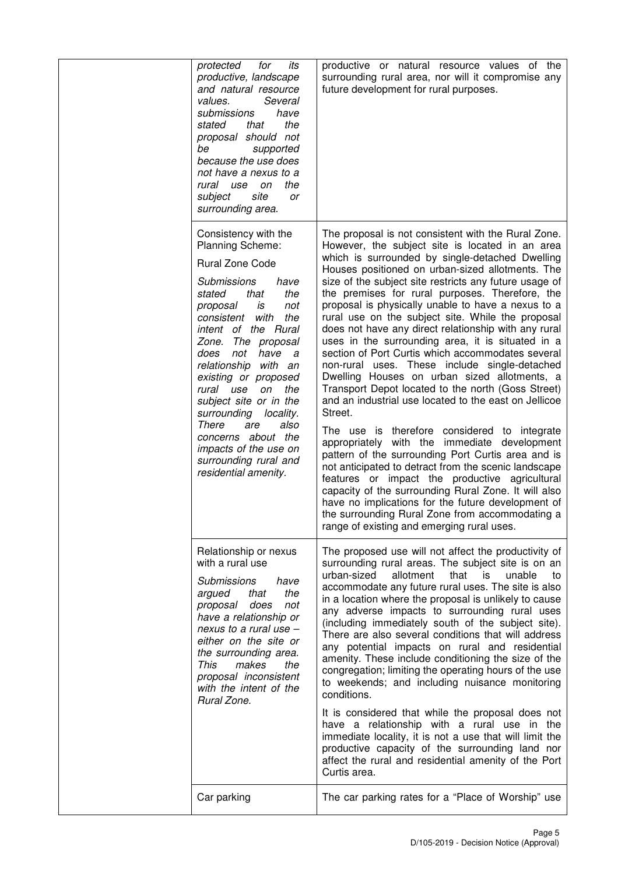| protected<br>for<br>its<br>productive, landscape<br>and natural resource<br>Several<br>values.<br>submissions<br>have<br>the<br>stated<br>that<br>proposal should not<br>be<br>supported<br>because the use does<br>not have a nexus to a<br>the<br>rural use on<br>site<br>subject<br><b>or</b><br>surrounding area.                                                                                                                                                                             | productive or natural resource values of the<br>surrounding rural area, nor will it compromise any<br>future development for rural purposes.                                                                                                                                                                                                                                                                                                                                                                                                                                                                                                                                                                                                                                                                                                                                                                                                                                                                                                                                                                                                                                                                                                                                                                      |
|---------------------------------------------------------------------------------------------------------------------------------------------------------------------------------------------------------------------------------------------------------------------------------------------------------------------------------------------------------------------------------------------------------------------------------------------------------------------------------------------------|-------------------------------------------------------------------------------------------------------------------------------------------------------------------------------------------------------------------------------------------------------------------------------------------------------------------------------------------------------------------------------------------------------------------------------------------------------------------------------------------------------------------------------------------------------------------------------------------------------------------------------------------------------------------------------------------------------------------------------------------------------------------------------------------------------------------------------------------------------------------------------------------------------------------------------------------------------------------------------------------------------------------------------------------------------------------------------------------------------------------------------------------------------------------------------------------------------------------------------------------------------------------------------------------------------------------|
| Consistency with the<br>Planning Scheme:<br><b>Rural Zone Code</b><br><b>Submissions</b><br>have<br>the<br>stated<br>that<br>not<br>proposal<br>is<br>consistent with<br>the<br>intent of the Rural<br>Zone. The proposal<br>does<br>not have a<br>relationship with an<br>existing or proposed<br>rural use on<br>the<br>subject site or in the<br>surrounding locality.<br>There<br>also<br>are<br>concerns about the<br>impacts of the use on<br>surrounding rural and<br>residential amenity. | The proposal is not consistent with the Rural Zone.<br>However, the subject site is located in an area<br>which is surrounded by single-detached Dwelling<br>Houses positioned on urban-sized allotments. The<br>size of the subject site restricts any future usage of<br>the premises for rural purposes. Therefore, the<br>proposal is physically unable to have a nexus to a<br>rural use on the subject site. While the proposal<br>does not have any direct relationship with any rural<br>uses in the surrounding area, it is situated in a<br>section of Port Curtis which accommodates several<br>non-rural uses. These include single-detached<br>Dwelling Houses on urban sized allotments, a<br>Transport Depot located to the north (Goss Street)<br>and an industrial use located to the east on Jellicoe<br>Street.<br>The use is therefore considered to integrate<br>appropriately with the immediate development<br>pattern of the surrounding Port Curtis area and is<br>not anticipated to detract from the scenic landscape<br>features or impact the productive agricultural<br>capacity of the surrounding Rural Zone. It will also<br>have no implications for the future development of<br>the surrounding Rural Zone from accommodating a<br>range of existing and emerging rural uses. |
| Relationship or nexus<br>with a rural use<br>Submissions<br>have<br>the<br>argued<br>that<br>does<br>proposal<br>not<br>have a relationship or<br>nexus to a rural use -<br>either on the site or<br>the surrounding area.<br>This<br>makes<br>the<br>proposal inconsistent<br>with the intent of the<br>Rural Zone.                                                                                                                                                                              | The proposed use will not affect the productivity of<br>surrounding rural areas. The subject site is on an<br>urban-sized<br>allotment<br>that<br>is i<br>unable<br>to<br>accommodate any future rural uses. The site is also<br>in a location where the proposal is unlikely to cause<br>any adverse impacts to surrounding rural uses<br>(including immediately south of the subject site).<br>There are also several conditions that will address<br>any potential impacts on rural and residential<br>amenity. These include conditioning the size of the<br>congregation; limiting the operating hours of the use<br>to weekends; and including nuisance monitoring<br>conditions.<br>It is considered that while the proposal does not<br>have a relationship with a rural use in the<br>immediate locality, it is not a use that will limit the<br>productive capacity of the surrounding land nor<br>affect the rural and residential amenity of the Port<br>Curtis area.                                                                                                                                                                                                                                                                                                                                 |
| Car parking                                                                                                                                                                                                                                                                                                                                                                                                                                                                                       | The car parking rates for a "Place of Worship" use                                                                                                                                                                                                                                                                                                                                                                                                                                                                                                                                                                                                                                                                                                                                                                                                                                                                                                                                                                                                                                                                                                                                                                                                                                                                |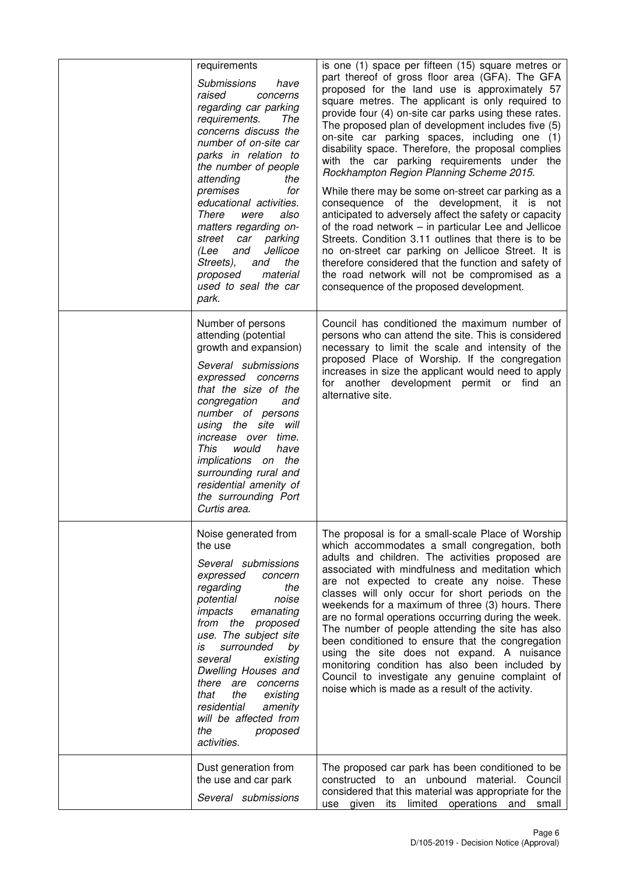| requirements<br><b>Submissions</b><br>have<br>raised<br>concerns<br>regarding car parking<br>requirements.<br>The<br>concerns discuss the<br>number of on-site car<br>parks in relation to<br>the number of people<br>attending<br>the<br>premises<br>for<br>educational activities.<br>There<br>were<br>also<br>matters regarding on-<br>street<br>parking<br>car<br>Jellicoe<br>(Lee<br>and<br>Streets),<br>the<br>and<br>material<br>proposed<br>used to seal the car<br>park. | is one (1) space per fifteen (15) square metres or<br>part thereof of gross floor area (GFA). The GFA<br>proposed for the land use is approximately 57<br>square metres. The applicant is only required to<br>provide four (4) on-site car parks using these rates.<br>The proposed plan of development includes five (5)<br>on-site car parking spaces, including one (1)<br>disability space. Therefore, the proposal complies<br>with the car parking requirements under the<br>Rockhampton Region Planning Scheme 2015.<br>While there may be some on-street car parking as a<br>consequence of the development, it is not<br>anticipated to adversely affect the safety or capacity<br>of the road network – in particular Lee and Jellicoe<br>Streets. Condition 3.11 outlines that there is to be<br>no on-street car parking on Jellicoe Street. It is<br>therefore considered that the function and safety of<br>the road network will not be compromised as a<br>consequence of the proposed development. |
|-----------------------------------------------------------------------------------------------------------------------------------------------------------------------------------------------------------------------------------------------------------------------------------------------------------------------------------------------------------------------------------------------------------------------------------------------------------------------------------|---------------------------------------------------------------------------------------------------------------------------------------------------------------------------------------------------------------------------------------------------------------------------------------------------------------------------------------------------------------------------------------------------------------------------------------------------------------------------------------------------------------------------------------------------------------------------------------------------------------------------------------------------------------------------------------------------------------------------------------------------------------------------------------------------------------------------------------------------------------------------------------------------------------------------------------------------------------------------------------------------------------------|
| Number of persons<br>attending (potential<br>growth and expansion)<br>Several submissions<br>expressed concerns<br>that the size of the<br>congregation<br>and<br>number of persons<br>using the site will<br>increase over time.<br><b>This</b><br>would<br>have<br>implications on the<br>surrounding rural and<br>residential amenity of<br>the surrounding Port<br>Curtis area.                                                                                               | Council has conditioned the maximum number of<br>persons who can attend the site. This is considered<br>necessary to limit the scale and intensity of the<br>proposed Place of Worship. If the congregation<br>increases in size the applicant would need to apply<br>for another development permit or find an<br>alternative site.                                                                                                                                                                                                                                                                                                                                                                                                                                                                                                                                                                                                                                                                                |
| Noise generated from<br>the use<br>Several submissions<br>expressed<br>concern<br>regarding<br>the<br>potential<br>noise<br>impacts<br>emanating<br>from the proposed<br>use. The subject site<br>surrounded<br>by<br>is<br>several<br>existing<br>Dwelling Houses and<br>there are concerns<br>the<br>that<br>existing<br>residential<br>amenity<br>will be affected from<br>the<br>proposed<br>activities.                                                                      | The proposal is for a small-scale Place of Worship<br>which accommodates a small congregation, both<br>adults and children. The activities proposed are<br>associated with mindfulness and meditation which<br>are not expected to create any noise. These<br>classes will only occur for short periods on the<br>weekends for a maximum of three (3) hours. There<br>are no formal operations occurring during the week.<br>The number of people attending the site has also<br>been conditioned to ensure that the congregation<br>using the site does not expand. A nuisance<br>monitoring condition has also been included by<br>Council to investigate any genuine complaint of<br>noise which is made as a result of the activity.                                                                                                                                                                                                                                                                            |
| Dust generation from<br>the use and car park<br>Several submissions                                                                                                                                                                                                                                                                                                                                                                                                               | The proposed car park has been conditioned to be<br>constructed to an unbound material. Council<br>considered that this material was appropriate for the<br>its limited operations<br>use given<br>and<br>small                                                                                                                                                                                                                                                                                                                                                                                                                                                                                                                                                                                                                                                                                                                                                                                                     |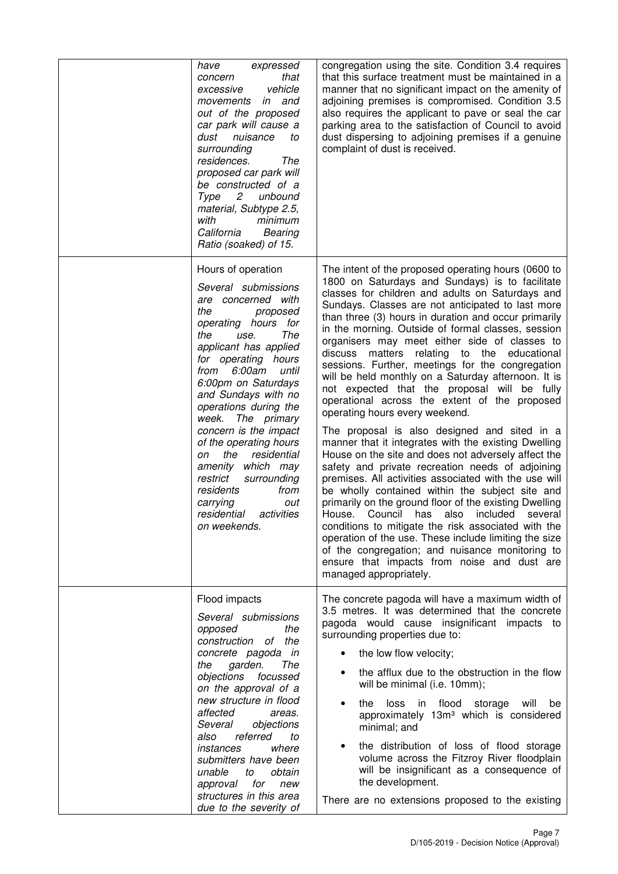| have<br>expressed<br>that<br>concern<br>vehicle<br>excessive<br>in and<br>movements<br>out of the proposed<br>car park will cause a<br>dust<br>nuisance<br>to<br>surrounding<br>residences.<br>The<br>proposed car park will<br>be constructed of a<br>Type<br>$\overline{2}$<br>unbound<br>material, Subtype 2.5,<br>with<br>minimum<br>California<br>Bearing<br>Ratio (soaked) of 15.                                                                                                                                    | congregation using the site. Condition 3.4 requires<br>that this surface treatment must be maintained in a<br>manner that no significant impact on the amenity of<br>adjoining premises is compromised. Condition 3.5<br>also requires the applicant to pave or seal the car<br>parking area to the satisfaction of Council to avoid<br>dust dispersing to adjoining premises if a genuine<br>complaint of dust is received.                                                                                                                                                                                                                                                                                                                                                                                                                                                                                                                                                                                                                                                                                                                                                                                                                                                                                                                                          |
|----------------------------------------------------------------------------------------------------------------------------------------------------------------------------------------------------------------------------------------------------------------------------------------------------------------------------------------------------------------------------------------------------------------------------------------------------------------------------------------------------------------------------|-----------------------------------------------------------------------------------------------------------------------------------------------------------------------------------------------------------------------------------------------------------------------------------------------------------------------------------------------------------------------------------------------------------------------------------------------------------------------------------------------------------------------------------------------------------------------------------------------------------------------------------------------------------------------------------------------------------------------------------------------------------------------------------------------------------------------------------------------------------------------------------------------------------------------------------------------------------------------------------------------------------------------------------------------------------------------------------------------------------------------------------------------------------------------------------------------------------------------------------------------------------------------------------------------------------------------------------------------------------------------|
| Hours of operation<br>Several submissions<br>are concerned with<br>the<br>proposed<br>operating hours for<br>The<br>the<br>use.<br>applicant has applied<br>for operating hours<br>from 6:00am<br>until<br>6:00pm on Saturdays<br>and Sundays with no<br>operations during the<br>week.<br>The primary<br>concern is the impact<br>of the operating hours<br>residential<br>the<br>on<br>amenity which may<br>restrict<br>surrounding<br>residents<br>from<br>carrying<br>out<br>residential<br>activities<br>on weekends. | The intent of the proposed operating hours (0600 to<br>1800 on Saturdays and Sundays) is to facilitate<br>classes for children and adults on Saturdays and<br>Sundays. Classes are not anticipated to last more<br>than three (3) hours in duration and occur primarily<br>in the morning. Outside of formal classes, session<br>organisers may meet either side of classes to<br>relating to the educational<br>discuss matters<br>sessions. Further, meetings for the congregation<br>will be held monthly on a Saturday afternoon. It is<br>not expected that the proposal will be fully<br>operational across the extent of the proposed<br>operating hours every weekend.<br>The proposal is also designed and sited in a<br>manner that it integrates with the existing Dwelling<br>House on the site and does not adversely affect the<br>safety and private recreation needs of adjoining<br>premises. All activities associated with the use will<br>be wholly contained within the subject site and<br>primarily on the ground floor of the existing Dwelling<br>House. Council has<br>also included<br>several<br>conditions to mitigate the risk associated with the<br>operation of the use. These include limiting the size<br>of the congregation; and nuisance monitoring to<br>ensure that impacts from noise and dust are<br>managed appropriately. |
| Flood impacts<br>Several submissions<br>the<br>opposed<br>construction<br>of the<br>concrete pagoda in<br>garden.<br>The<br>the<br>objections<br>focussed<br>on the approval of a<br>new structure in flood<br>affected<br>areas.<br>Several<br>objections<br>referred<br>also<br>to<br>where<br>instances<br>submitters have been<br>obtain<br>unable<br>to<br>approval for<br>new<br>structures in this area<br>due to the severity of                                                                                   | The concrete pagoda will have a maximum width of<br>3.5 metres. It was determined that the concrete<br>pagoda would cause insignificant impacts to<br>surrounding properties due to:<br>the low flow velocity;<br>the afflux due to the obstruction in the flow<br>will be minimal (i.e. 10mm);<br>the<br>loss<br>flood<br>will<br>in<br>storage<br>be<br>approximately 13m <sup>3</sup> which is considered<br>minimal; and<br>the distribution of loss of flood storage<br>volume across the Fitzroy River floodplain<br>will be insignificant as a consequence of<br>the development.<br>There are no extensions proposed to the existing                                                                                                                                                                                                                                                                                                                                                                                                                                                                                                                                                                                                                                                                                                                          |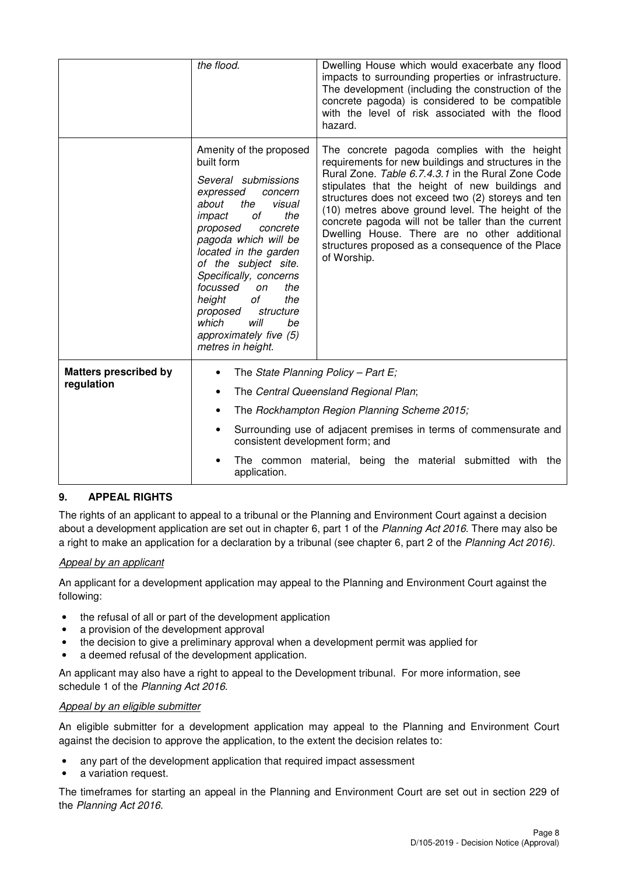|                                            | the flood.                                                                                                                                                                                                                                                                                                                                                                                                      | Dwelling House which would exacerbate any flood<br>impacts to surrounding properties or infrastructure.<br>The development (including the construction of the<br>concrete pagoda) is considered to be compatible<br>with the level of risk associated with the flood<br>hazard.                                                                                                                                                                                                                      |
|--------------------------------------------|-----------------------------------------------------------------------------------------------------------------------------------------------------------------------------------------------------------------------------------------------------------------------------------------------------------------------------------------------------------------------------------------------------------------|------------------------------------------------------------------------------------------------------------------------------------------------------------------------------------------------------------------------------------------------------------------------------------------------------------------------------------------------------------------------------------------------------------------------------------------------------------------------------------------------------|
|                                            | Amenity of the proposed<br>built form<br>Several submissions<br>expressed<br>concern<br>about<br>the<br>visual<br>of<br>the<br>impact<br>proposed<br>concrete<br>pagoda which will be<br>located in the garden<br>of the subject site.<br>Specifically, concerns<br>focussed<br>the<br>on<br>height<br>of<br>the<br>proposed<br>structure<br>which<br>will<br>be<br>approximately five (5)<br>metres in height. | The concrete pagoda complies with the height<br>requirements for new buildings and structures in the<br>Rural Zone. Table 6.7.4.3.1 in the Rural Zone Code<br>stipulates that the height of new buildings and<br>structures does not exceed two (2) storeys and ten<br>(10) metres above ground level. The height of the<br>concrete pagoda will not be taller than the current<br>Dwelling House. There are no other additional<br>structures proposed as a consequence of the Place<br>of Worship. |
| <b>Matters prescribed by</b><br>regulation | The State Planning Policy - Part E;<br>٠<br>٠<br>٠<br>$\bullet$<br>consistent development form; and<br>application.                                                                                                                                                                                                                                                                                             | The Central Queensland Regional Plan;<br>The Rockhampton Region Planning Scheme 2015;<br>Surrounding use of adjacent premises in terms of commensurate and<br>The common material, being the material submitted with the                                                                                                                                                                                                                                                                             |

## **9. APPEAL RIGHTS**

The rights of an applicant to appeal to a tribunal or the Planning and Environment Court against a decision about a development application are set out in chapter 6, part 1 of the Planning Act 2016. There may also be a right to make an application for a declaration by a tribunal (see chapter 6, part 2 of the Planning Act 2016).

## Appeal by an applicant

An applicant for a development application may appeal to the Planning and Environment Court against the following:

- the refusal of all or part of the development application
- a provision of the development approval
- the decision to give a preliminary approval when a development permit was applied for
- a deemed refusal of the development application.

An applicant may also have a right to appeal to the Development tribunal. For more information, see schedule 1 of the Planning Act 2016.

#### Appeal by an eligible submitter

An eligible submitter for a development application may appeal to the Planning and Environment Court against the decision to approve the application, to the extent the decision relates to:

- any part of the development application that required impact assessment
- a variation request.

The timeframes for starting an appeal in the Planning and Environment Court are set out in section 229 of the Planning Act 2016.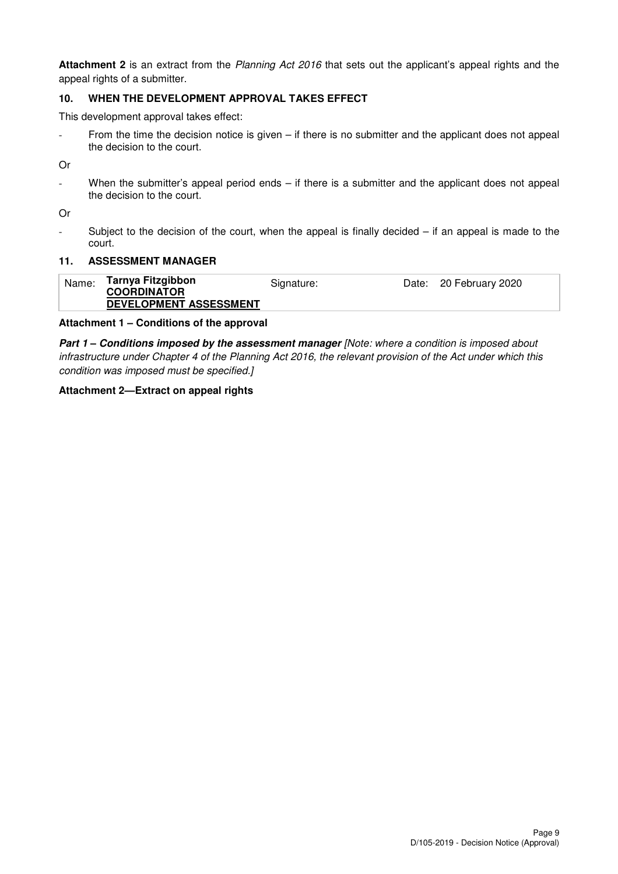**Attachment 2** is an extract from the Planning Act 2016 that sets out the applicant's appeal rights and the appeal rights of a submitter.

## **10. WHEN THE DEVELOPMENT APPROVAL TAKES EFFECT**

This development approval takes effect:

- From the time the decision notice is given – if there is no submitter and the applicant does not appeal the decision to the court.

Or

When the submitter's appeal period ends  $-$  if there is a submitter and the applicant does not appeal the decision to the court.

Or

- Subject to the decision of the court, when the appeal is finally decided – if an appeal is made to the court.

#### **11. ASSESSMENT MANAGER**

| Name: | Tarnya Fitzgibbon<br><b>COORDINATOR</b> | Signature: | Date: 20 February 2020 |
|-------|-----------------------------------------|------------|------------------------|
|       | DEVELOPMENT ASSESSMENT                  |            |                        |

#### **Attachment 1 – Conditions of the approval**

**Part 1 – Conditions imposed by the assessment manager** [Note: where a condition is imposed about infrastructure under Chapter 4 of the Planning Act 2016, the relevant provision of the Act under which this condition was imposed must be specified.]

#### **Attachment 2—Extract on appeal rights**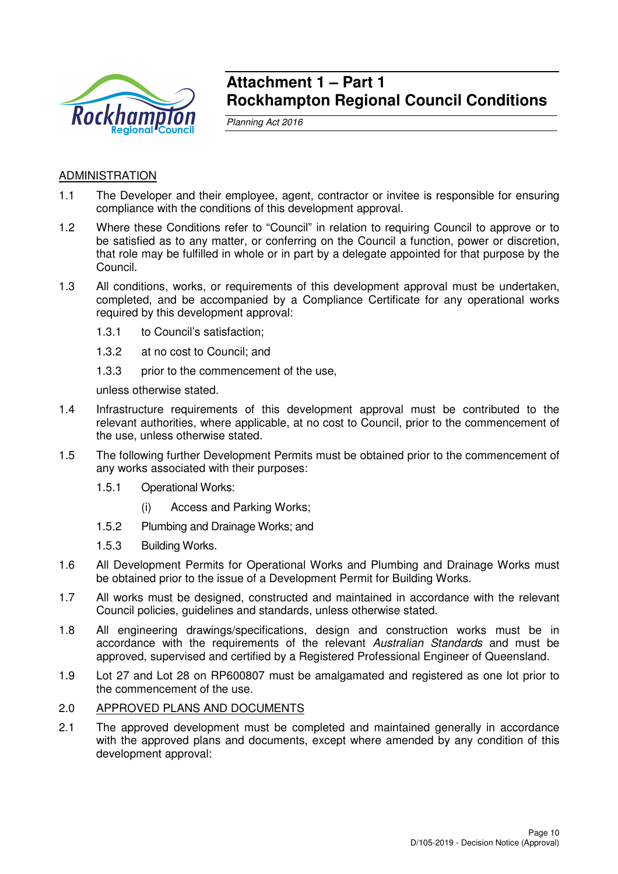

## **Attachment 1 – Part 1 Rockhampton Regional Council Conditions**

Planning Act 2016

## **ADMINISTRATION**

- 1.1 The Developer and their employee, agent, contractor or invitee is responsible for ensuring compliance with the conditions of this development approval.
- 1.2 Where these Conditions refer to "Council" in relation to requiring Council to approve or to be satisfied as to any matter, or conferring on the Council a function, power or discretion, that role may be fulfilled in whole or in part by a delegate appointed for that purpose by the Council.
- 1.3 All conditions, works, or requirements of this development approval must be undertaken, completed, and be accompanied by a Compliance Certificate for any operational works required by this development approval:
	- 1.3.1 to Council's satisfaction;
	- 1.3.2 at no cost to Council; and
	- 1.3.3 prior to the commencement of the use,

unless otherwise stated.

- 1.4 Infrastructure requirements of this development approval must be contributed to the relevant authorities, where applicable, at no cost to Council, prior to the commencement of the use, unless otherwise stated.
- 1.5 The following further Development Permits must be obtained prior to the commencement of any works associated with their purposes:
	- 1.5.1 Operational Works:
		- (i) Access and Parking Works;
	- 1.5.2 Plumbing and Drainage Works; and
	- 1.5.3 Building Works.
- 1.6 All Development Permits for Operational Works and Plumbing and Drainage Works must be obtained prior to the issue of a Development Permit for Building Works.
- 1.7 All works must be designed, constructed and maintained in accordance with the relevant Council policies, guidelines and standards, unless otherwise stated.
- 1.8 All engineering drawings/specifications, design and construction works must be in accordance with the requirements of the relevant Australian Standards and must be approved, supervised and certified by a Registered Professional Engineer of Queensland.
- 1.9 Lot 27 and Lot 28 on RP600807 must be amalgamated and registered as one lot prior to the commencement of the use.

#### 2.0 APPROVED PLANS AND DOCUMENTS

2.1 The approved development must be completed and maintained generally in accordance with the approved plans and documents, except where amended by any condition of this development approval: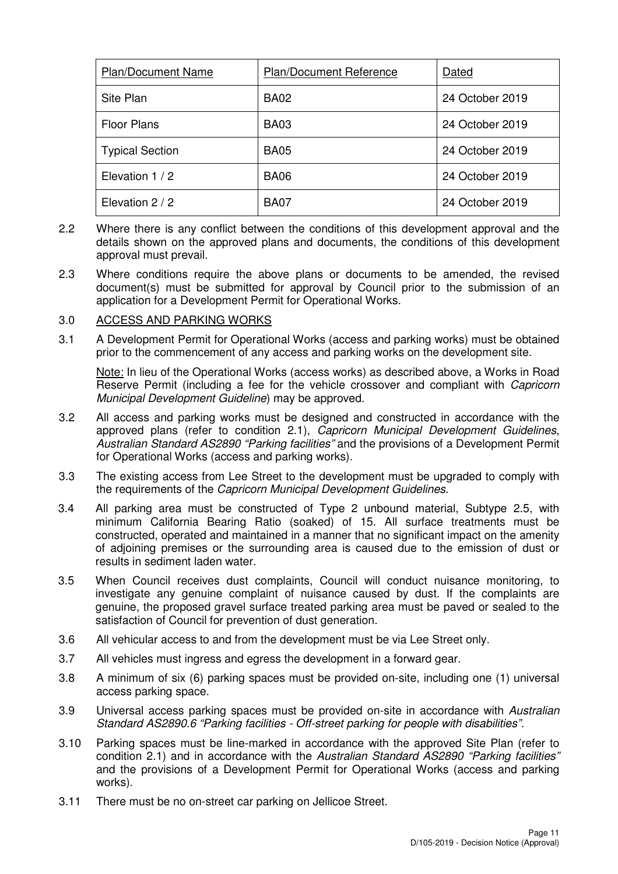| <b>Plan/Document Name</b> | <b>Plan/Document Reference</b> | Dated           |
|---------------------------|--------------------------------|-----------------|
| Site Plan                 | <b>BA02</b>                    | 24 October 2019 |
| <b>Floor Plans</b>        | <b>BA03</b>                    | 24 October 2019 |
| <b>Typical Section</b>    | <b>BA05</b>                    | 24 October 2019 |
| Elevation 1/2             | <b>BA06</b>                    | 24 October 2019 |
| Elevation 2 / 2           | <b>BA07</b>                    | 24 October 2019 |

- 2.2 Where there is any conflict between the conditions of this development approval and the details shown on the approved plans and documents, the conditions of this development approval must prevail.
- 2.3 Where conditions require the above plans or documents to be amended, the revised document(s) must be submitted for approval by Council prior to the submission of an application for a Development Permit for Operational Works.

## 3.0 ACCESS AND PARKING WORKS

3.1 A Development Permit for Operational Works (access and parking works) must be obtained prior to the commencement of any access and parking works on the development site.

Note: In lieu of the Operational Works (access works) as described above, a Works in Road Reserve Permit (including a fee for the vehicle crossover and compliant with *Capricorn* Municipal Development Guideline) may be approved.

- 3.2 All access and parking works must be designed and constructed in accordance with the approved plans (refer to condition 2.1), Capricorn Municipal Development Guidelines, Australian Standard AS2890 "Parking facilities" and the provisions of a Development Permit for Operational Works (access and parking works).
- 3.3 The existing access from Lee Street to the development must be upgraded to comply with the requirements of the Capricorn Municipal Development Guidelines.
- 3.4 All parking area must be constructed of Type 2 unbound material, Subtype 2.5, with minimum California Bearing Ratio (soaked) of 15. All surface treatments must be constructed, operated and maintained in a manner that no significant impact on the amenity of adjoining premises or the surrounding area is caused due to the emission of dust or results in sediment laden water.
- 3.5 When Council receives dust complaints, Council will conduct nuisance monitoring, to investigate any genuine complaint of nuisance caused by dust. If the complaints are genuine, the proposed gravel surface treated parking area must be paved or sealed to the satisfaction of Council for prevention of dust generation.
- 3.6 All vehicular access to and from the development must be via Lee Street only.
- 3.7 All vehicles must ingress and egress the development in a forward gear.
- 3.8 A minimum of six (6) parking spaces must be provided on-site, including one (1) universal access parking space.
- 3.9 Universal access parking spaces must be provided on-site in accordance with Australian Standard AS2890.6 "Parking facilities - Off-street parking for people with disabilities".
- 3.10 Parking spaces must be line-marked in accordance with the approved Site Plan (refer to condition 2.1) and in accordance with the Australian Standard AS2890 "Parking facilities" and the provisions of a Development Permit for Operational Works (access and parking works).
- 3.11 There must be no on-street car parking on Jellicoe Street.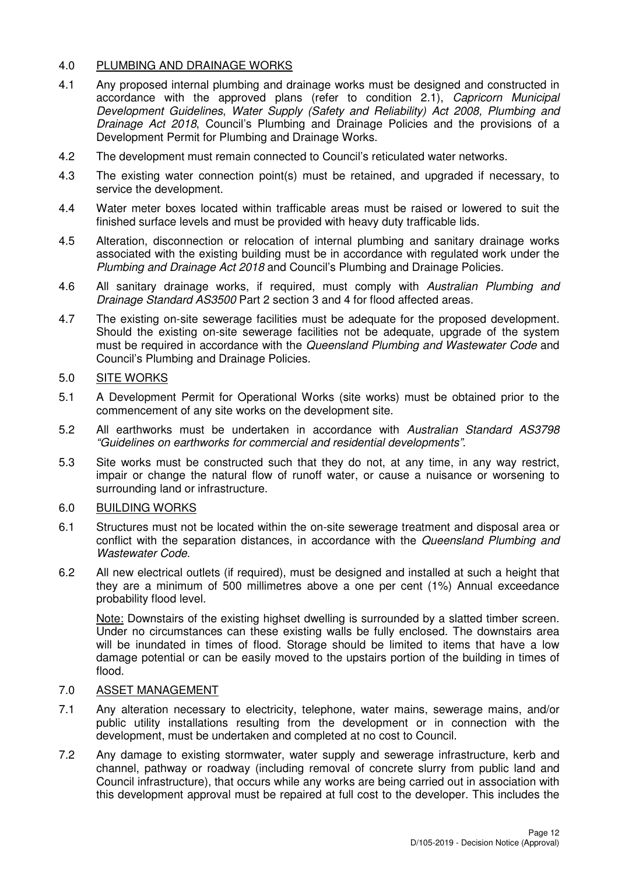## 4.0 PLUMBING AND DRAINAGE WORKS

- 4.1 Any proposed internal plumbing and drainage works must be designed and constructed in accordance with the approved plans (refer to condition 2.1), Capricorn Municipal Development Guidelines, Water Supply (Safety and Reliability) Act 2008, Plumbing and Drainage Act 2018, Council's Plumbing and Drainage Policies and the provisions of a Development Permit for Plumbing and Drainage Works.
- 4.2 The development must remain connected to Council's reticulated water networks.
- 4.3 The existing water connection point(s) must be retained, and upgraded if necessary, to service the development.
- 4.4 Water meter boxes located within trafficable areas must be raised or lowered to suit the finished surface levels and must be provided with heavy duty trafficable lids.
- 4.5 Alteration, disconnection or relocation of internal plumbing and sanitary drainage works associated with the existing building must be in accordance with regulated work under the Plumbing and Drainage Act 2018 and Council's Plumbing and Drainage Policies.
- 4.6 All sanitary drainage works, if required, must comply with Australian Plumbing and Drainage Standard AS3500 Part 2 section 3 and 4 for flood affected areas.
- 4.7 The existing on-site sewerage facilities must be adequate for the proposed development. Should the existing on-site sewerage facilities not be adequate, upgrade of the system must be required in accordance with the Queensland Plumbing and Wastewater Code and Council's Plumbing and Drainage Policies.

## 5.0 SITE WORKS

- 5.1 A Development Permit for Operational Works (site works) must be obtained prior to the commencement of any site works on the development site.
- 5.2 All earthworks must be undertaken in accordance with Australian Standard AS3798 "Guidelines on earthworks for commercial and residential developments".
- 5.3 Site works must be constructed such that they do not, at any time, in any way restrict, impair or change the natural flow of runoff water, or cause a nuisance or worsening to surrounding land or infrastructure.

## 6.0 BUILDING WORKS

- 6.1 Structures must not be located within the on-site sewerage treatment and disposal area or conflict with the separation distances, in accordance with the Queensland Plumbing and Wastewater Code.
- 6.2 All new electrical outlets (if required), must be designed and installed at such a height that they are a minimum of 500 millimetres above a one per cent (1%) Annual exceedance probability flood level.

Note: Downstairs of the existing highset dwelling is surrounded by a slatted timber screen. Under no circumstances can these existing walls be fully enclosed. The downstairs area will be inundated in times of flood. Storage should be limited to items that have a low damage potential or can be easily moved to the upstairs portion of the building in times of flood.

#### 7.0 ASSET MANAGEMENT

- 7.1 Any alteration necessary to electricity, telephone, water mains, sewerage mains, and/or public utility installations resulting from the development or in connection with the development, must be undertaken and completed at no cost to Council.
- 7.2 Any damage to existing stormwater, water supply and sewerage infrastructure, kerb and channel, pathway or roadway (including removal of concrete slurry from public land and Council infrastructure), that occurs while any works are being carried out in association with this development approval must be repaired at full cost to the developer. This includes the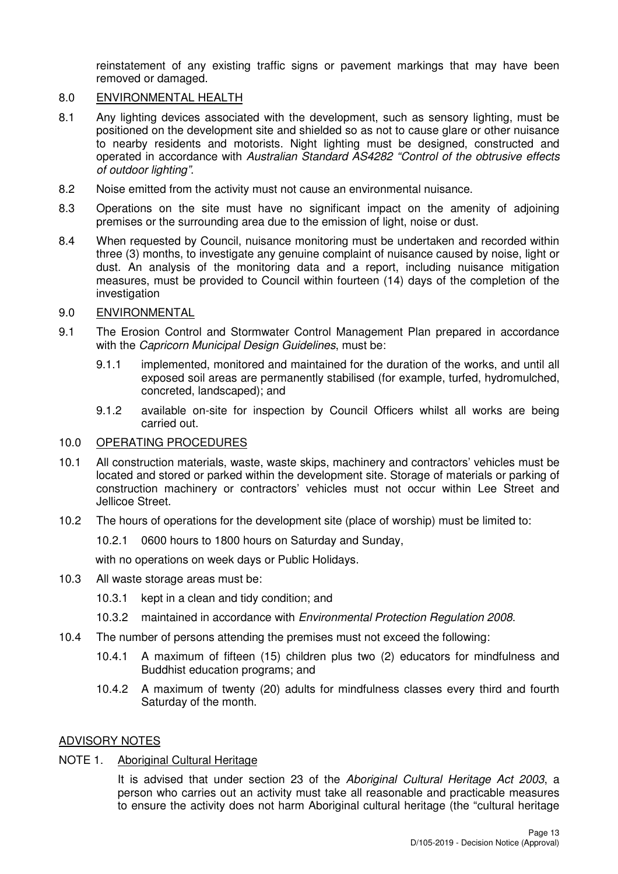reinstatement of any existing traffic signs or pavement markings that may have been removed or damaged.

## 8.0 ENVIRONMENTAL HEALTH

- 8.1 Any lighting devices associated with the development, such as sensory lighting, must be positioned on the development site and shielded so as not to cause glare or other nuisance to nearby residents and motorists. Night lighting must be designed, constructed and operated in accordance with Australian Standard AS4282 "Control of the obtrusive effects of outdoor lighting".
- 8.2 Noise emitted from the activity must not cause an environmental nuisance.
- 8.3 Operations on the site must have no significant impact on the amenity of adjoining premises or the surrounding area due to the emission of light, noise or dust.
- 8.4 When requested by Council, nuisance monitoring must be undertaken and recorded within three (3) months, to investigate any genuine complaint of nuisance caused by noise, light or dust. An analysis of the monitoring data and a report, including nuisance mitigation measures, must be provided to Council within fourteen (14) days of the completion of the investigation
- 9.0 ENVIRONMENTAL
- 9.1 The Erosion Control and Stormwater Control Management Plan prepared in accordance with the Capricorn Municipal Design Guidelines, must be:
	- 9.1.1 implemented, monitored and maintained for the duration of the works, and until all exposed soil areas are permanently stabilised (for example, turfed, hydromulched, concreted, landscaped); and
	- 9.1.2 available on-site for inspection by Council Officers whilst all works are being carried out.

#### 10.0 OPERATING PROCEDURES

- 10.1 All construction materials, waste, waste skips, machinery and contractors' vehicles must be located and stored or parked within the development site. Storage of materials or parking of construction machinery or contractors' vehicles must not occur within Lee Street and Jellicoe Street.
- 10.2 The hours of operations for the development site (place of worship) must be limited to:

10.2.1 0600 hours to 1800 hours on Saturday and Sunday,

with no operations on week days or Public Holidays.

- 10.3 All waste storage areas must be:
	- 10.3.1 kept in a clean and tidy condition; and
	- 10.3.2 maintained in accordance with Environmental Protection Regulation 2008.
- 10.4 The number of persons attending the premises must not exceed the following:
	- 10.4.1 A maximum of fifteen (15) children plus two (2) educators for mindfulness and Buddhist education programs; and
	- 10.4.2 A maximum of twenty (20) adults for mindfulness classes every third and fourth Saturday of the month.

#### ADVISORY NOTES

## NOTE 1. Aboriginal Cultural Heritage

It is advised that under section 23 of the Aboriginal Cultural Heritage Act 2003, a person who carries out an activity must take all reasonable and practicable measures to ensure the activity does not harm Aboriginal cultural heritage (the "cultural heritage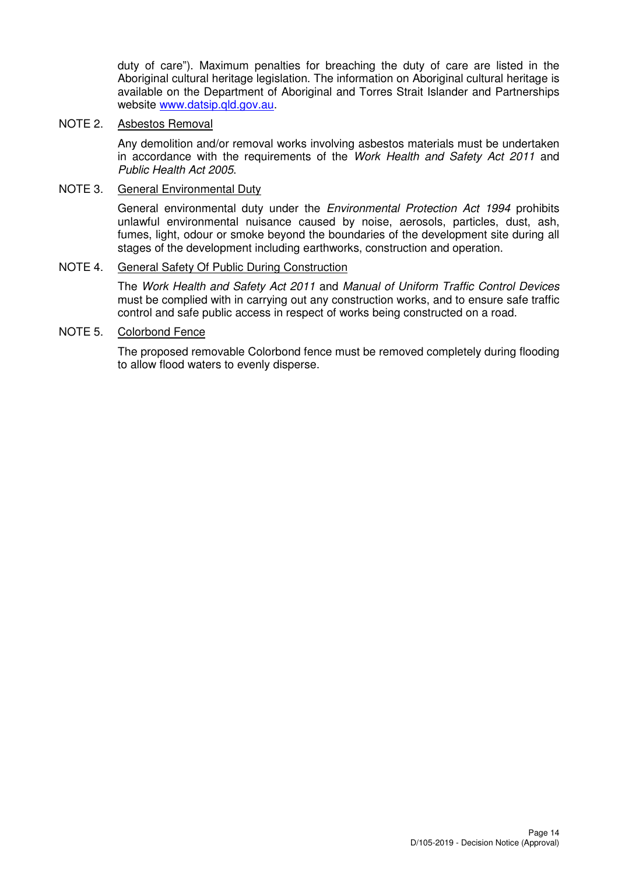duty of care"). Maximum penalties for breaching the duty of care are listed in the Aboriginal cultural heritage legislation. The information on Aboriginal cultural heritage is available on the Department of Aboriginal and Torres Strait Islander and Partnerships website www.datsip.qld.gov.au.

## NOTE 2. Asbestos Removal

Any demolition and/or removal works involving asbestos materials must be undertaken in accordance with the requirements of the Work Health and Safety Act 2011 and Public Health Act 2005.

#### NOTE 3. General Environmental Duty

General environmental duty under the Environmental Protection Act 1994 prohibits unlawful environmental nuisance caused by noise, aerosols, particles, dust, ash, fumes, light, odour or smoke beyond the boundaries of the development site during all stages of the development including earthworks, construction and operation.

## NOTE 4. General Safety Of Public During Construction

The Work Health and Safety Act 2011 and Manual of Uniform Traffic Control Devices must be complied with in carrying out any construction works, and to ensure safe traffic control and safe public access in respect of works being constructed on a road.

#### NOTE 5. Colorbond Fence

The proposed removable Colorbond fence must be removed completely during flooding to allow flood waters to evenly disperse.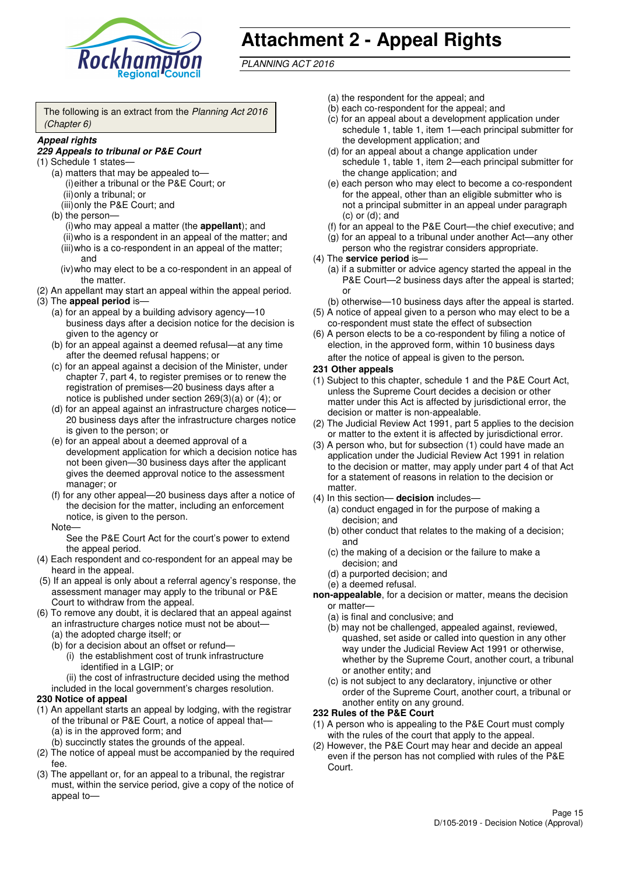

# **Attachment 2 - Appeal Rights**

PLANNING ACT 2016

The following is an extract from the Planning Act 2016 (Chapter 6)

#### **Appeal rights**

#### **229 Appeals to tribunal or P&E Court**

- (1) Schedule 1 states—
	- (a) matters that may be appealed to— (i) either a tribunal or the P&E Court; or (ii) only a tribunal; or
	- (iii) only the P&E Court; and (b) the person—

(i) who may appeal a matter (the **appellant**); and (ii) who is a respondent in an appeal of the matter; and (iii) who is a co-respondent in an appeal of the matter; and

- (iv) who may elect to be a co-respondent in an appeal of the matter.
- (2) An appellant may start an appeal within the appeal period.
- (3) The **appeal period** is—
	- (a) for an appeal by a building advisory agency—10 business days after a decision notice for the decision is given to the agency or
	- (b) for an appeal against a deemed refusal—at any time after the deemed refusal happens; or
	- (c) for an appeal against a decision of the Minister, under chapter 7, part 4, to register premises or to renew the registration of premises—20 business days after a notice is published under section 269(3)(a) or (4); or
	- (d) for an appeal against an infrastructure charges notice— 20 business days after the infrastructure charges notice is given to the person; or
	- (e) for an appeal about a deemed approval of a development application for which a decision notice has not been given—30 business days after the applicant gives the deemed approval notice to the assessment manager; or
	- (f) for any other appeal—20 business days after a notice of the decision for the matter, including an enforcement notice, is given to the person.

#### Note—

See the P&E Court Act for the court's power to extend the appeal period.

- (4) Each respondent and co-respondent for an appeal may be heard in the appeal.
- (5) If an appeal is only about a referral agency's response, the assessment manager may apply to the tribunal or P&E Court to withdraw from the appeal.
- (6) To remove any doubt, it is declared that an appeal against an infrastructure charges notice must not be about—
	- (a) the adopted charge itself; or
	- (b) for a decision about an offset or refund—
		- (i) the establishment cost of trunk infrastructure identified in a LGIP; or
		- (ii) the cost of infrastructure decided using the method
	- included in the local government's charges resolution.
- **230 Notice of appeal**
- (1) An appellant starts an appeal by lodging, with the registrar of the tribunal or P&E Court, a notice of appeal that—
	- (a) is in the approved form; and
	- (b) succinctly states the grounds of the appeal.
- (2) The notice of appeal must be accompanied by the required fee.
- (3) The appellant or, for an appeal to a tribunal, the registrar must, within the service period, give a copy of the notice of appeal to—
- (a) the respondent for the appeal; and
- (b) each co-respondent for the appeal; and
- (c) for an appeal about a development application under schedule 1, table 1, item 1—each principal submitter for the development application; and
- (d) for an appeal about a change application under schedule 1, table 1, item 2—each principal submitter for the change application; and
- (e) each person who may elect to become a co-respondent for the appeal, other than an eligible submitter who is not a principal submitter in an appeal under paragraph  $(c)$  or  $(d)$ ; and
- (f) for an appeal to the P&E Court—the chief executive; and
- (g) for an appeal to a tribunal under another Act—any other person who the registrar considers appropriate.
- (4) The **service period** is—
	- (a) if a submitter or advice agency started the appeal in the P&E Court-2 business days after the appeal is started; or
	- (b) otherwise—10 business days after the appeal is started.
- (5) A notice of appeal given to a person who may elect to be a co-respondent must state the effect of subsection
- (6) A person elects to be a co-respondent by filing a notice of election, in the approved form, within 10 business days after the notice of appeal is given to the person*.*
- **231 Other appeals**
- (1) Subject to this chapter, schedule 1 and the P&E Court Act, unless the Supreme Court decides a decision or other matter under this Act is affected by jurisdictional error, the decision or matter is non-appealable.
- (2) The Judicial Review Act 1991, part 5 applies to the decision or matter to the extent it is affected by jurisdictional error.
- (3) A person who, but for subsection (1) could have made an application under the Judicial Review Act 1991 in relation to the decision or matter, may apply under part 4 of that Act for a statement of reasons in relation to the decision or matter.
- (4) In this section— **decision** includes—
	- (a) conduct engaged in for the purpose of making a decision; and
	- (b) other conduct that relates to the making of a decision; and
	- (c) the making of a decision or the failure to make a decision; and
	- (d) a purported decision; and
	- (e) a deemed refusal.

**non-appealable**, for a decision or matter, means the decision or matter—

- (a) is final and conclusive; and
- (b) may not be challenged, appealed against, reviewed, quashed, set aside or called into question in any other way under the Judicial Review Act 1991 or otherwise, whether by the Supreme Court, another court, a tribunal or another entity; and
- (c) is not subject to any declaratory, injunctive or other order of the Supreme Court, another court, a tribunal or another entity on any ground.

#### **232 Rules of the P&E Court**

- (1) A person who is appealing to the P&E Court must comply with the rules of the court that apply to the appeal.
- (2) However, the P&E Court may hear and decide an appeal even if the person has not complied with rules of the P&E Court.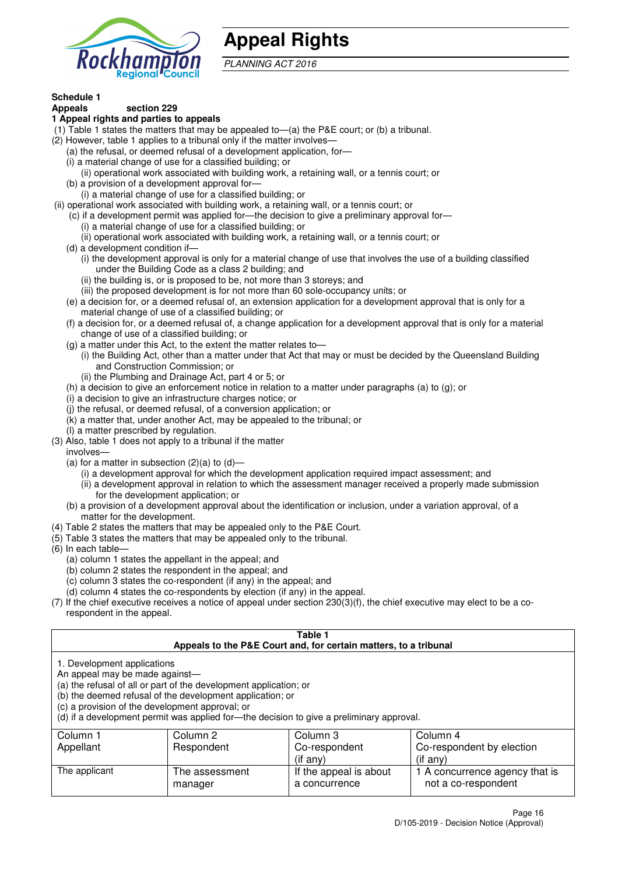

## **Appeal Rights**

PLANNING ACT 2016

# **Schedule 1**

#### **Appeals section 229 1 Appeal rights and parties to appeals**

- (1) Table 1 states the matters that may be appealed to—(a) the P&E court; or (b) a tribunal.
- (2) However, table 1 applies to a tribunal only if the matter involves—
	- (a) the refusal, or deemed refusal of a development application, for—
	- (i) a material change of use for a classified building; or
	- (ii) operational work associated with building work, a retaining wall, or a tennis court; or
	- (b) a provision of a development approval for—
	- (i) a material change of use for a classified building; or
- (ii) operational work associated with building work, a retaining wall, or a tennis court; or
	- (c) if a development permit was applied for—the decision to give a preliminary approval for—
		- (i) a material change of use for a classified building; or
	- (ii) operational work associated with building work, a retaining wall, or a tennis court; or
	- (d) a development condition if—
		- (i) the development approval is only for a material change of use that involves the use of a building classified under the Building Code as a class 2 building; and
		- (ii) the building is, or is proposed to be, not more than 3 storeys; and
		- (iii) the proposed development is for not more than 60 sole-occupancy units; or
	- (e) a decision for, or a deemed refusal of, an extension application for a development approval that is only for a material change of use of a classified building; or
	- (f) a decision for, or a deemed refusal of, a change application for a development approval that is only for a material change of use of a classified building; or
	- (g) a matter under this Act, to the extent the matter relates to—
		- (i) the Building Act, other than a matter under that Act that may or must be decided by the Queensland Building and Construction Commission; or
		- (ii) the Plumbing and Drainage Act, part 4 or 5; or
	- (h) a decision to give an enforcement notice in relation to a matter under paragraphs (a) to (g); or
	- (i) a decision to give an infrastructure charges notice; or
	- (j) the refusal, or deemed refusal, of a conversion application; or
	- (k) a matter that, under another Act, may be appealed to the tribunal; or
	- (l) a matter prescribed by regulation.
- (3) Also, table 1 does not apply to a tribunal if the matter

involves—

- (a) for a matter in subsection  $(2)(a)$  to  $(d)$ 
	- (i) a development approval for which the development application required impact assessment; and
	- (ii) a development approval in relation to which the assessment manager received a properly made submission for the development application; or
- (b) a provision of a development approval about the identification or inclusion, under a variation approval, of a matter for the development.
- (4) Table 2 states the matters that may be appealed only to the P&E Court.
- (5) Table 3 states the matters that may be appealed only to the tribunal.
- (6) In each table—
	- (a) column 1 states the appellant in the appeal; and
	- (b) column 2 states the respondent in the appeal; and
	- (c) column 3 states the co-respondent (if any) in the appeal; and
	- (d) column 4 states the co-respondents by election (if any) in the appeal.
- (7) If the chief executive receives a notice of appeal under section 230(3)(f), the chief executive may elect to be a corespondent in the appeal.

| Table 1<br>Appeals to the P&E Court and, for certain matters, to a tribunal                                                                                                                                                                                                                                                                    |                           |                                         |                                                       |
|------------------------------------------------------------------------------------------------------------------------------------------------------------------------------------------------------------------------------------------------------------------------------------------------------------------------------------------------|---------------------------|-----------------------------------------|-------------------------------------------------------|
| 1. Development applications<br>An appeal may be made against-<br>(a) the refusal of all or part of the development application; or<br>(b) the deemed refusal of the development application; or<br>(c) a provision of the development approval; or<br>(d) if a development permit was applied for-the decision to give a preliminary approval. |                           |                                         |                                                       |
| Column 1                                                                                                                                                                                                                                                                                                                                       | Column 2                  | Column 3                                | Column 4                                              |
| Appellant                                                                                                                                                                                                                                                                                                                                      | Respondent                | Co-respondent                           | Co-respondent by election                             |
|                                                                                                                                                                                                                                                                                                                                                |                           | $($ if any $)$                          | (if any)                                              |
| The applicant                                                                                                                                                                                                                                                                                                                                  | The assessment<br>manager | If the appeal is about<br>a concurrence | 1 A concurrence agency that is<br>not a co-respondent |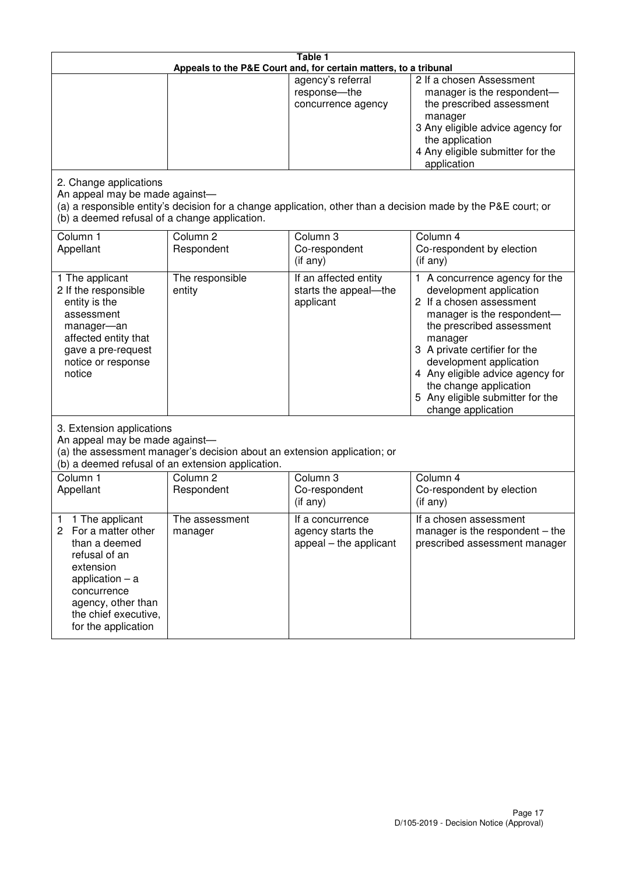| Table 1<br>Appeals to the P&E Court and, for certain matters, to a tribunal                                                                                                                                          |                                                                                                                               |                                                                 |                                                                                                                                                                                                                                                                                                                                                 |
|----------------------------------------------------------------------------------------------------------------------------------------------------------------------------------------------------------------------|-------------------------------------------------------------------------------------------------------------------------------|-----------------------------------------------------------------|-------------------------------------------------------------------------------------------------------------------------------------------------------------------------------------------------------------------------------------------------------------------------------------------------------------------------------------------------|
|                                                                                                                                                                                                                      |                                                                                                                               | agency's referral<br>response-the<br>concurrence agency         | 2 If a chosen Assessment<br>manager is the respondent-<br>the prescribed assessment<br>manager<br>3 Any eligible advice agency for<br>the application<br>4 Any eligible submitter for the<br>application                                                                                                                                        |
| 2. Change applications<br>An appeal may be made against-<br>(b) a deemed refusal of a change application.                                                                                                            |                                                                                                                               |                                                                 | (a) a responsible entity's decision for a change application, other than a decision made by the P&E court; or                                                                                                                                                                                                                                   |
| Column 1<br>Appellant                                                                                                                                                                                                | Column <sub>2</sub><br>Respondent                                                                                             | Column 3<br>Co-respondent<br>(if any)                           | Column 4<br>Co-respondent by election<br>(if any)                                                                                                                                                                                                                                                                                               |
| 1 The applicant<br>2 If the responsible<br>entity is the<br>assessment<br>manager-an<br>affected entity that<br>gave a pre-request<br>notice or response<br>notice                                                   | The responsible<br>entity                                                                                                     | If an affected entity<br>starts the appeal-the<br>applicant     | 1 A concurrence agency for the<br>development application<br>2 If a chosen assessment<br>manager is the respondent-<br>the prescribed assessment<br>manager<br>3 A private certifier for the<br>development application<br>4 Any eligible advice agency for<br>the change application<br>5 Any eligible submitter for the<br>change application |
| 3. Extension applications<br>An appeal may be made against-                                                                                                                                                          | (a) the assessment manager's decision about an extension application; or<br>(b) a deemed refusal of an extension application. |                                                                 |                                                                                                                                                                                                                                                                                                                                                 |
| Column 1<br>Appellant                                                                                                                                                                                                | Column <sub>2</sub><br>Respondent                                                                                             | Column 3<br>Co-respondent<br>(if any)                           | Column 4<br>Co-respondent by election<br>(if any)                                                                                                                                                                                                                                                                                               |
| 1 The applicant<br>1<br>$\overline{2}$<br>For a matter other<br>than a deemed<br>refusal of an<br>extension<br>application $-$ a<br>concurrence<br>agency, other than<br>the chief executive,<br>for the application | The assessment<br>manager                                                                                                     | If a concurrence<br>agency starts the<br>appeal – the applicant | If a chosen assessment<br>manager is the respondent $-$ the<br>prescribed assessment manager                                                                                                                                                                                                                                                    |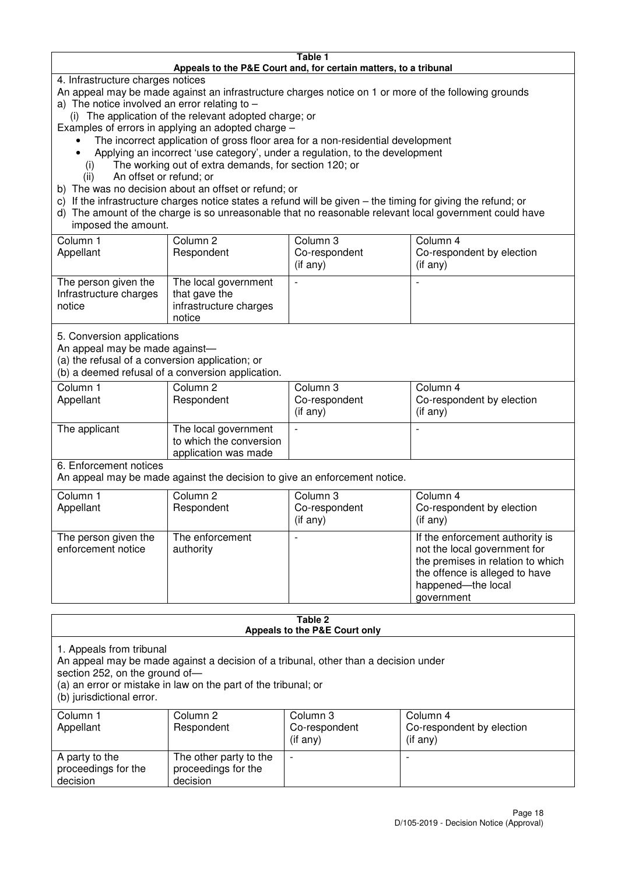#### **Table 1 Appeals to the P&E Court and, for certain matters, to a tribunal**

4. Infrastructure charges notices

- An appeal may be made against an infrastructure charges notice on 1 or more of the following grounds
- a) The notice involved an error relating to
	- (i) The application of the relevant adopted charge; or
- Examples of errors in applying an adopted charge
	- The incorrect application of gross floor area for a non-residential development
	- Applying an incorrect 'use category', under a regulation, to the development
	- (i) The working out of extra demands, for section 120; or
	- (ii) An offset or refund; or
- b) The was no decision about an offset or refund; or
- c) If the infrastructure charges notice states a refund will be given the timing for giving the refund; or
- d) The amount of the charge is so unreasonable that no reasonable relevant local government could have

## imposed the amount.

| Column 1<br>Appellant                                    | Column 2<br>Respondent                                                    | Column 3<br>Co-respondent<br>$($ if any $)$ | Column 4<br>Co-respondent by election<br>$($ if any $)$ |
|----------------------------------------------------------|---------------------------------------------------------------------------|---------------------------------------------|---------------------------------------------------------|
| The person given the<br>Infrastructure charges<br>notice | The local government<br>that gave the<br>infrastructure charges<br>notice |                                             | $\overline{\phantom{0}}$                                |

5. Conversion applications

An appeal may be made against—

(a) the refusal of a conversion application; or

(b) a deemed refusal of a conversion application.

| Column 1<br>Appellant | Column 2<br>Respondent                                                  | Column 3<br>Co-respondent<br>$($ if any $)$ | Column 4<br>Co-respondent by election<br>$($ if any $)$ |
|-----------------------|-------------------------------------------------------------------------|---------------------------------------------|---------------------------------------------------------|
| The applicant         | The local government<br>to which the conversion<br>application was made |                                             |                                                         |

6. Enforcement notices

An appeal may be made against the decision to give an enforcement notice.

| Column 1<br>Appellant                      | Column 2<br>Respondent       | Column 3<br>Co-respondent<br>$($ if any $)$ | Column 4<br>Co-respondent by election<br>$($ if any $)$                                                                                                                    |
|--------------------------------------------|------------------------------|---------------------------------------------|----------------------------------------------------------------------------------------------------------------------------------------------------------------------------|
| The person given the<br>enforcement notice | The enforcement<br>authority |                                             | If the enforcement authority is<br>not the local government for<br>the premises in relation to which<br>the offence is alleged to have<br>happened-the local<br>government |

#### **Table 2 Appeals to the P&E Court only**

1. Appeals from tribunal

An appeal may be made against a decision of a tribunal, other than a decision under

section 252, on the ground of-

(a) an error or mistake in law on the part of the tribunal; or

(b) jurisdictional error.

| Column 1<br>Appellant                             | Column 2<br>Respondent                                    | Column 3<br>Co-respondent<br>$($ if any $)$ | Column 4<br>Co-respondent by election<br>(i f any) |
|---------------------------------------------------|-----------------------------------------------------------|---------------------------------------------|----------------------------------------------------|
| A party to the<br>proceedings for the<br>decision | The other party to the<br>proceedings for the<br>decision | $\overline{\phantom{0}}$                    |                                                    |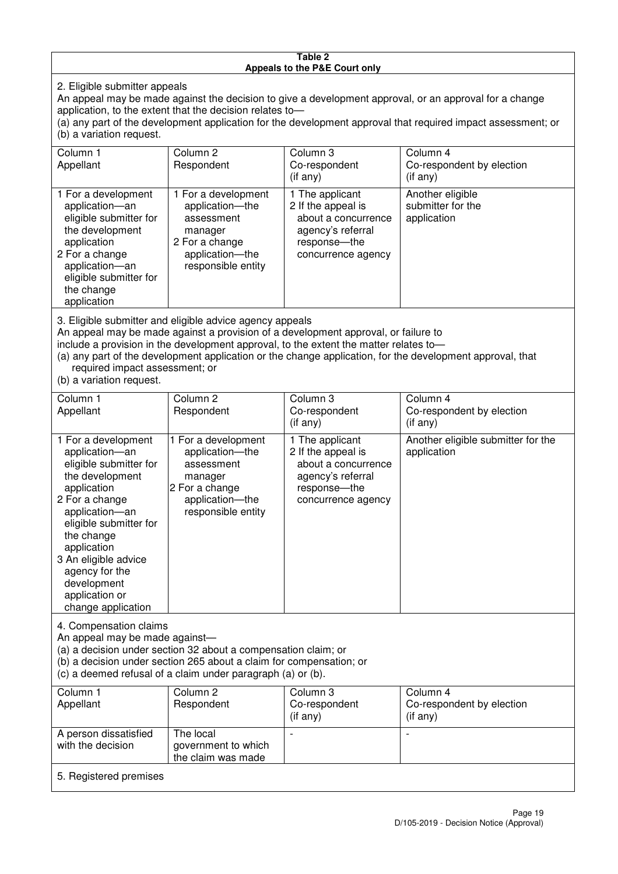#### **Table 2 Appeals to the P&E Court only**

2. Eligible submitter appeals

An appeal may be made against the decision to give a development approval, or an approval for a change application, to the extent that the decision relates to—

(a) any part of the development application for the development approval that required impact assessment; or (b) a variation request.

| Column 1<br>Appellant                                                                                                                                                                                                                                                                                                                                                                  | Column <sub>2</sub><br>Respondent                                                                                          | Column 3<br>Co-respondent<br>$($ if any $)$                                                                             | Column 4<br>Co-respondent by election<br>(i f any)   |  |
|----------------------------------------------------------------------------------------------------------------------------------------------------------------------------------------------------------------------------------------------------------------------------------------------------------------------------------------------------------------------------------------|----------------------------------------------------------------------------------------------------------------------------|-------------------------------------------------------------------------------------------------------------------------|------------------------------------------------------|--|
| 1 For a development<br>application-an<br>eligible submitter for<br>the development<br>application<br>2 For a change<br>application-an<br>eligible submitter for<br>the change<br>application                                                                                                                                                                                           | 1 For a development<br>application-the<br>assessment<br>manager<br>2 For a change<br>application-the<br>responsible entity | 1 The applicant<br>2 If the appeal is<br>about a concurrence<br>agency's referral<br>response-the<br>concurrence agency | Another eligible<br>submitter for the<br>application |  |
| 3. Eligible submitter and eligible advice agency appeals<br>An appeal may be made against a provision of a development approval, or failure to<br>include a provision in the development approval, to the extent the matter relates to-<br>(a) any part of the development application or the change application, for the development approval, that<br>required impact assessment; or |                                                                                                                            |                                                                                                                         |                                                      |  |

(b) a variation request.

5. Registered premises

| Column 1<br>Appellant                                                                                                                                                                                                                                                                         | Column 2<br>Respondent                                                                                                     | Column 3<br>Co-respondent<br>$($ if any $)$                                                                             | Column 4<br>Co-respondent by election<br>(i f any) |  |  |  |
|-----------------------------------------------------------------------------------------------------------------------------------------------------------------------------------------------------------------------------------------------------------------------------------------------|----------------------------------------------------------------------------------------------------------------------------|-------------------------------------------------------------------------------------------------------------------------|----------------------------------------------------|--|--|--|
| 1 For a development<br>application-an<br>eligible submitter for<br>the development<br>application<br>2 For a change<br>application-an<br>eligible submitter for<br>the change<br>application<br>3 An eligible advice<br>agency for the<br>development<br>application or<br>change application | 1 For a development<br>application-the<br>assessment<br>manager<br>2 For a change<br>application-the<br>responsible entity | 1 The applicant<br>2 If the appeal is<br>about a concurrence<br>agency's referral<br>response-the<br>concurrence agency | Another eligible submitter for the<br>application  |  |  |  |
| 4. Compensation claims<br>An appeal may be made against-<br>(a) a decision under section 32 about a compensation claim; or<br>(b) a decision under section 265 about a claim for compensation; or<br>(c) a deemed refusal of a claim under paragraph (a) or (b).                              |                                                                                                                            |                                                                                                                         |                                                    |  |  |  |
| Column 1<br>Appellant                                                                                                                                                                                                                                                                         | Column <sub>2</sub><br>Respondent                                                                                          | Column 3<br>Co-respondent<br>(if any)                                                                                   | Column 4<br>Co-respondent by election<br>(if any)  |  |  |  |
| A person dissatisfied<br>with the decision                                                                                                                                                                                                                                                    | The local<br>government to which                                                                                           |                                                                                                                         |                                                    |  |  |  |

the claim was made

 $\overline{\phantom{a}}$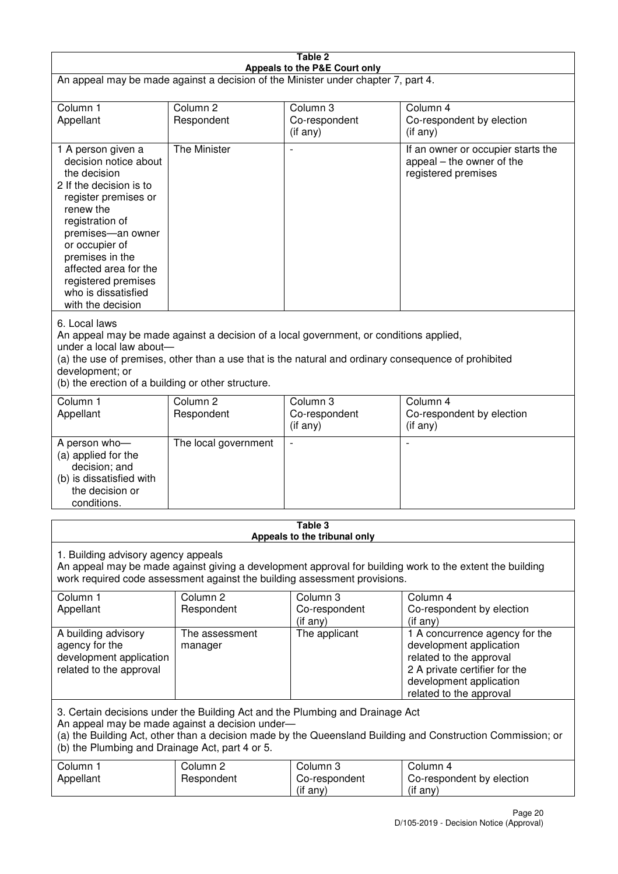| Table 2<br>Appeals to the P&E Court only                                                                                                                                                                                                                                                                             |                                   |                                                  |                                                                                                                                                                             |  |  |  |
|----------------------------------------------------------------------------------------------------------------------------------------------------------------------------------------------------------------------------------------------------------------------------------------------------------------------|-----------------------------------|--------------------------------------------------|-----------------------------------------------------------------------------------------------------------------------------------------------------------------------------|--|--|--|
| An appeal may be made against a decision of the Minister under chapter 7, part 4.                                                                                                                                                                                                                                    |                                   |                                                  |                                                                                                                                                                             |  |  |  |
| Column 1<br>Appellant                                                                                                                                                                                                                                                                                                | Column <sub>2</sub><br>Respondent | Column 3<br>Co-respondent<br>(if any)            | Column 4<br>Co-respondent by election<br>(if any)                                                                                                                           |  |  |  |
| 1 A person given a<br>decision notice about<br>the decision<br>2 If the decision is to<br>register premises or<br>renew the<br>registration of<br>premises-an owner<br>or occupier of<br>premises in the<br>affected area for the<br>registered premises<br>who is dissatisfied<br>with the decision                 | The Minister                      | $\blacksquare$                                   | If an owner or occupier starts the<br>appeal – the owner of the<br>registered premises                                                                                      |  |  |  |
| 6. Local laws<br>An appeal may be made against a decision of a local government, or conditions applied,<br>under a local law about-<br>(a) the use of premises, other than a use that is the natural and ordinary consequence of prohibited<br>development; or<br>(b) the erection of a building or other structure. |                                   |                                                  |                                                                                                                                                                             |  |  |  |
| Column 1<br>Appellant                                                                                                                                                                                                                                                                                                | Column <sub>2</sub><br>Respondent | Column 3<br>Co-respondent<br>(if any)            | Column 4<br>Co-respondent by election<br>(if any)                                                                                                                           |  |  |  |
| A person who-<br>(a) applied for the<br>decision; and<br>(b) is dissatisfied with<br>the decision or<br>conditions.                                                                                                                                                                                                  | The local government              |                                                  |                                                                                                                                                                             |  |  |  |
| Table 3<br>Appeals to the tribunal only                                                                                                                                                                                                                                                                              |                                   |                                                  |                                                                                                                                                                             |  |  |  |
| 1. Building advisory agency appeals<br>An appeal may be made against giving a development approval for building work to the extent the building<br>work required code assessment against the building assessment provisions.                                                                                         |                                   |                                                  |                                                                                                                                                                             |  |  |  |
| Column 1<br>Appellant                                                                                                                                                                                                                                                                                                | Column <sub>2</sub><br>Respondent | Column <sub>3</sub><br>Co-respondent<br>(if any) | Column 4<br>Co-respondent by election<br>(if any)                                                                                                                           |  |  |  |
| A building advisory<br>agency for the<br>development application<br>related to the approval                                                                                                                                                                                                                          | The assessment<br>manager         | The applicant                                    | 1 A concurrence agency for the<br>development application<br>related to the approval<br>2 A private certifier for the<br>development application<br>related to the approval |  |  |  |
| 3. Certain decisions under the Building Act and the Plumbing and Drainage Act<br>An appeal may be made against a decision under-<br>(a) the Building Act, other than a decision made by the Queensland Building and Construction Commission; or<br>(b) the Plumbing and Drainage Act, part 4 or 5.                   |                                   |                                                  |                                                                                                                                                                             |  |  |  |
| Column 1<br>Appellant                                                                                                                                                                                                                                                                                                | Column <sub>2</sub><br>Respondent | Column 3<br>Co-respondent<br>(if any)            | Column 4<br>Co-respondent by election<br>(if any)                                                                                                                           |  |  |  |